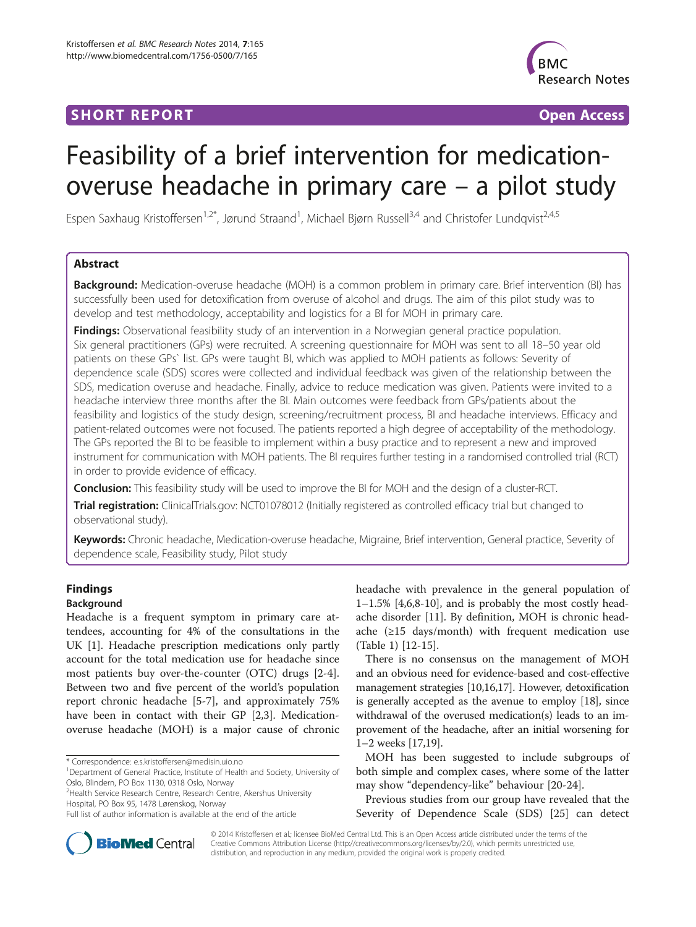## **SHORT REPORT SHORT CONSUMING THE SHORT CONSUMING THE SHORT CONSUMING THE SHORT CONSUMING THE SHORT CONSUMING THE SHORT CONSUMING THE SHORT CONSUMING THE SHORT CONSUMING THE SHORT CONSUMING THE SHORT CONSUMING THE SHORT**



# Feasibility of a brief intervention for medicationoveruse headache in primary care – a pilot study

Espen Saxhaug Kristoffersen<sup>1,2\*</sup>, Jørund Straand<sup>1</sup>, Michael Bjørn Russell<sup>3,4</sup> and Christofer Lundqvist<sup>2,4,5</sup>

## Abstract

Background: Medication-overuse headache (MOH) is a common problem in primary care. Brief intervention (BI) has successfully been used for detoxification from overuse of alcohol and drugs. The aim of this pilot study was to develop and test methodology, acceptability and logistics for a BI for MOH in primary care.

**Findings:** Observational feasibility study of an intervention in a Norwegian general practice population. Six general practitioners (GPs) were recruited. A screening questionnaire for MOH was sent to all 18–50 year old patients on these GPs` list. GPs were taught BI, which was applied to MOH patients as follows: Severity of dependence scale (SDS) scores were collected and individual feedback was given of the relationship between the SDS, medication overuse and headache. Finally, advice to reduce medication was given. Patients were invited to a headache interview three months after the BI. Main outcomes were feedback from GPs/patients about the feasibility and logistics of the study design, screening/recruitment process, BI and headache interviews. Efficacy and patient-related outcomes were not focused. The patients reported a high degree of acceptability of the methodology. The GPs reported the BI to be feasible to implement within a busy practice and to represent a new and improved instrument for communication with MOH patients. The BI requires further testing in a randomised controlled trial (RCT) in order to provide evidence of efficacy.

Conclusion: This feasibility study will be used to improve the BI for MOH and the design of a cluster-RCT.

Trial registration: ClinicalTrials.gov: [NCT01078012](http://clinicaltrials.gov/ct2/show/NCT01078012) (Initially registered as controlled efficacy trial but changed to observational study).

Keywords: Chronic headache, Medication-overuse headache, Migraine, Brief intervention, General practice, Severity of dependence scale, Feasibility study, Pilot study

## Findings

## Background

Headache is a frequent symptom in primary care attendees, accounting for 4% of the consultations in the UK [\[1](#page-8-0)]. Headache prescription medications only partly account for the total medication use for headache since most patients buy over-the-counter (OTC) drugs [[2-4](#page-8-0)]. Between two and five percent of the world's population report chronic headache [[5](#page-8-0)[-7](#page-9-0)], and approximately 75% have been in contact with their GP [[2,3\]](#page-8-0). Medicationoveruse headache (MOH) is a major cause of chronic

\* Correspondence: [e.s.kristoffersen@medisin.uio.no](mailto:e.s.kristoffersen@medisin.uio.no) <sup>1</sup>

<sup>1</sup>Department of General Practice, Institute of Health and Society, University of Oslo, Blindern, PO Box 1130, 0318 Oslo, Norway

<sup>2</sup> Health Service Research Centre, Research Centre, Akershus University Hospital, PO Box 95, 1478 Lørenskog, Norway Full list of author information is available at the end of the article

headache with prevalence in the general population of  $1-1.5\%$  [[4,6,](#page-8-0)[8-10](#page-9-0)], and is probably the most costly headache disorder [[11\]](#page-9-0). By definition, MOH is chronic headache (≥15 days/month) with frequent medication use (Table [1\)](#page-1-0) [\[12](#page-9-0)-[15](#page-9-0)].

There is no consensus on the management of MOH and an obvious need for evidence-based and cost-effective management strategies [[10,16,17\]](#page-9-0). However, detoxification is generally accepted as the avenue to employ [\[18\]](#page-9-0), since withdrawal of the overused medication(s) leads to an improvement of the headache, after an initial worsening for 1–2 weeks [[17,19\]](#page-9-0).

MOH has been suggested to include subgroups of both simple and complex cases, where some of the latter may show "dependency-like" behaviour [[20](#page-9-0)-[24\]](#page-9-0).

Previous studies from our group have revealed that the Severity of Dependence Scale (SDS) [\[25\]](#page-9-0) can detect



© 2014 Kristoffersen et al.; licensee BioMed Central Ltd. This is an Open Access article distributed under the terms of the Creative Commons Attribution License (<http://creativecommons.org/licenses/by/2.0>), which permits unrestricted use, distribution, and reproduction in any medium, provided the original work is properly credited.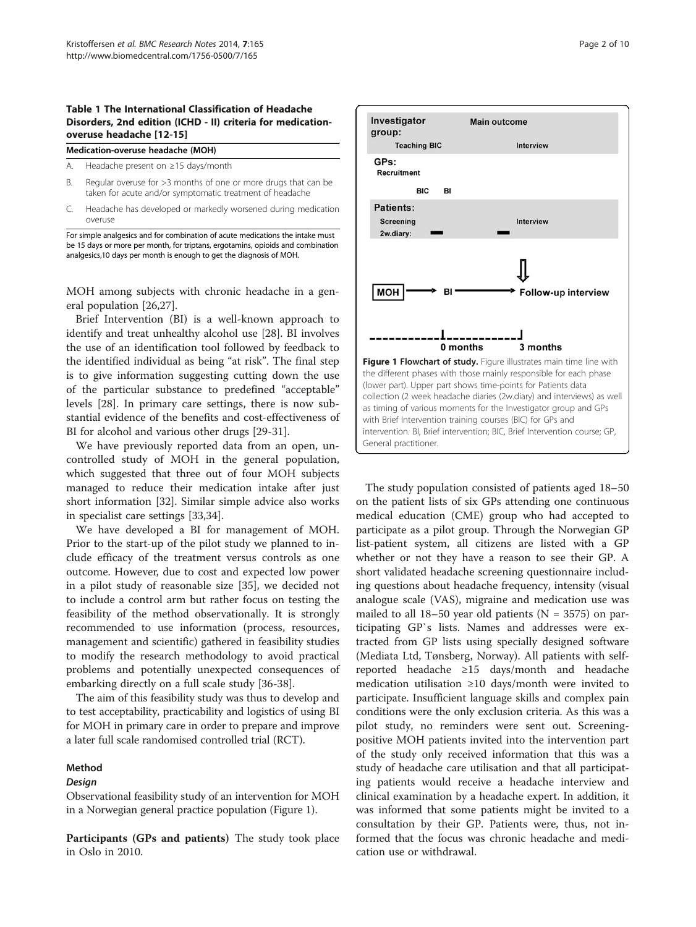## <span id="page-1-0"></span>Table 1 The International Classification of Headache Disorders, 2nd edition (ICHD - II) criteria for medicationoveruse headache [\[12-15\]](#page-9-0)

Medication-overuse headache (MOH)

A. Headache present on ≥15 days/month

B. Regular overuse for >3 months of one or more drugs that can be taken for acute and/or symptomatic treatment of headache

C. Headache has developed or markedly worsened during medication overuse

For simple analgesics and for combination of acute medications the intake must be 15 days or more per month, for triptans, ergotamins, opioids and combination analgesics,10 days per month is enough to get the diagnosis of MOH.

MOH among subjects with chronic headache in a general population [[26,27\]](#page-9-0).

Brief Intervention (BI) is a well-known approach to identify and treat unhealthy alcohol use [[28\]](#page-9-0). BI involves the use of an identification tool followed by feedback to the identified individual as being "at risk". The final step is to give information suggesting cutting down the use of the particular substance to predefined "acceptable" levels [[28](#page-9-0)]. In primary care settings, there is now substantial evidence of the benefits and cost-effectiveness of BI for alcohol and various other drugs [\[29](#page-9-0)-[31\]](#page-9-0).

We have previously reported data from an open, uncontrolled study of MOH in the general population, which suggested that three out of four MOH subjects managed to reduce their medication intake after just short information [\[32](#page-9-0)]. Similar simple advice also works in specialist care settings [\[33,34](#page-9-0)].

We have developed a BI for management of MOH. Prior to the start-up of the pilot study we planned to include efficacy of the treatment versus controls as one outcome. However, due to cost and expected low power in a pilot study of reasonable size [\[35\]](#page-9-0), we decided not to include a control arm but rather focus on testing the feasibility of the method observationally. It is strongly recommended to use information (process, resources, management and scientific) gathered in feasibility studies to modify the research methodology to avoid practical problems and potentially unexpected consequences of embarking directly on a full scale study [[36-38](#page-9-0)].

The aim of this feasibility study was thus to develop and to test acceptability, practicability and logistics of using BI for MOH in primary care in order to prepare and improve a later full scale randomised controlled trial (RCT).

#### Method

#### Design

Observational feasibility study of an intervention for MOH in a Norwegian general practice population (Figure 1).

Participants (GPs and patients) The study took place in Oslo in 2010.



The study population consisted of patients aged 18–50 on the patient lists of six GPs attending one continuous medical education (CME) group who had accepted to participate as a pilot group. Through the Norwegian GP list-patient system, all citizens are listed with a GP whether or not they have a reason to see their GP. A short validated headache screening questionnaire including questions about headache frequency, intensity (visual analogue scale (VAS), migraine and medication use was mailed to all  $18-50$  year old patients (N = 3575) on participating GP`s lists. Names and addresses were extracted from GP lists using specially designed software (Mediata Ltd, Tønsberg, Norway). All patients with selfreported headache ≥15 days/month and headache medication utilisation ≥10 days/month were invited to participate. Insufficient language skills and complex pain conditions were the only exclusion criteria. As this was a pilot study, no reminders were sent out. Screeningpositive MOH patients invited into the intervention part of the study only received information that this was a study of headache care utilisation and that all participating patients would receive a headache interview and clinical examination by a headache expert. In addition, it was informed that some patients might be invited to a consultation by their GP. Patients were, thus, not informed that the focus was chronic headache and medication use or withdrawal.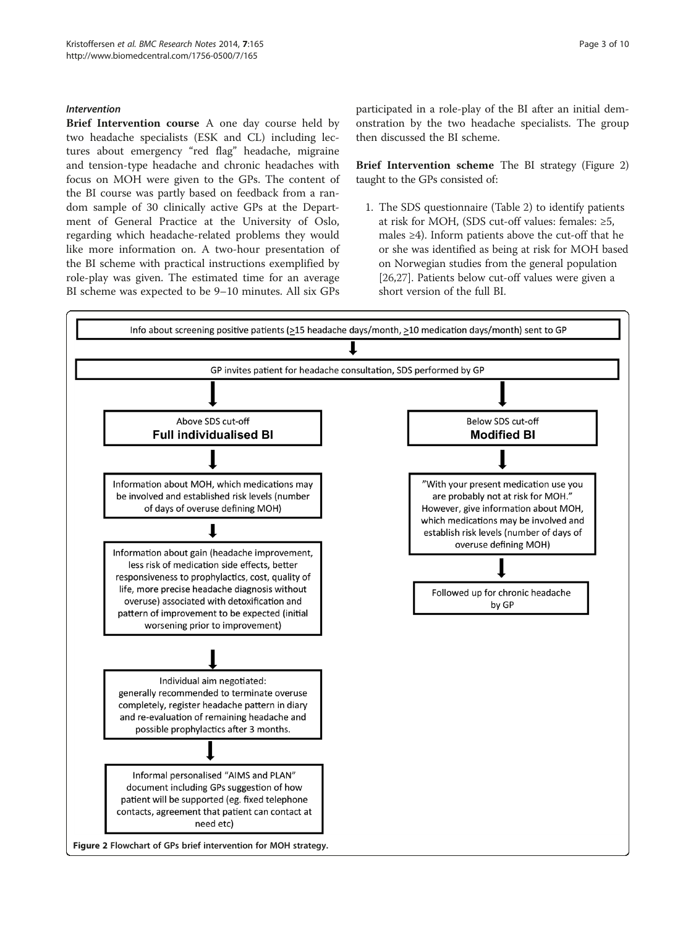#### Intervention

Brief Intervention course A one day course held by two headache specialists (ESK and CL) including lectures about emergency "red flag" headache, migraine and tension-type headache and chronic headaches with focus on MOH were given to the GPs. The content of the BI course was partly based on feedback from a random sample of 30 clinically active GPs at the Department of General Practice at the University of Oslo, regarding which headache-related problems they would like more information on. A two-hour presentation of the BI scheme with practical instructions exemplified by role-play was given. The estimated time for an average BI scheme was expected to be 9–10 minutes. All six GPs

participated in a role-play of the BI after an initial demonstration by the two headache specialists. The group then discussed the BI scheme.

Brief Intervention scheme The BI strategy (Figure 2) taught to the GPs consisted of:

1. The SDS questionnaire (Table [2\)](#page-3-0) to identify patients at risk for MOH, (SDS cut-off values: females: ≥5, males ≥4). Inform patients above the cut-off that he or she was identified as being at risk for MOH based on Norwegian studies from the general population [[26,27\]](#page-9-0). Patients below cut-off values were given a short version of the full BI.

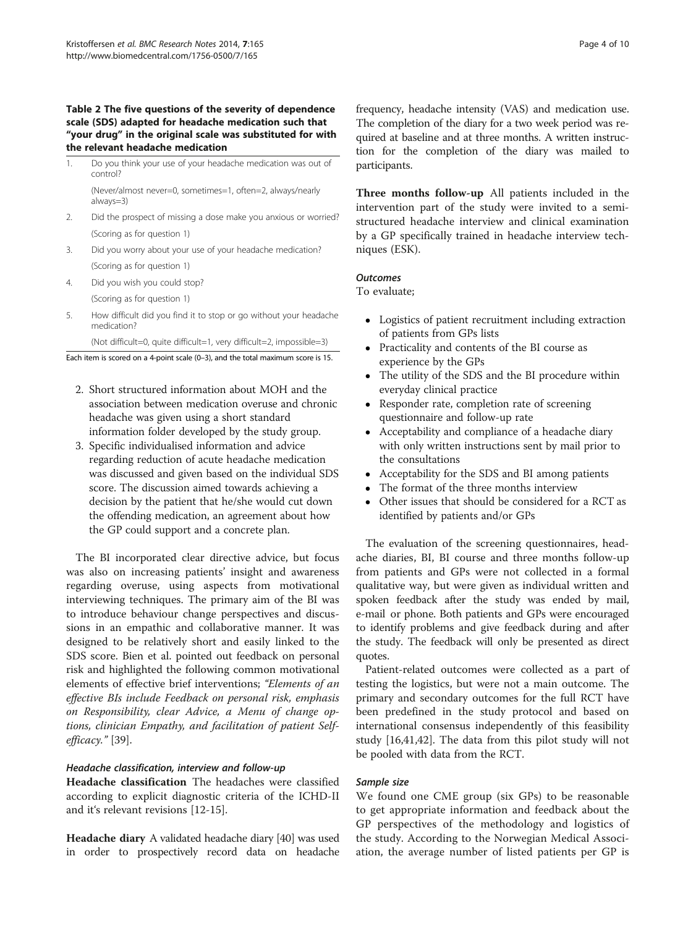#### <span id="page-3-0"></span>Table 2 The five questions of the severity of dependence scale (SDS) adapted for headache medication such that "your drug" in the original scale was substituted for with the relevant headache medication

1. Do you think your use of your headache medication was out of control?

(Never/almost never=0, sometimes=1, often=2, always/nearly always=3)

- 2. Did the prospect of missing a dose make you anxious or worried? (Scoring as for question 1)
- 3. Did you worry about your use of your headache medication? (Scoring as for question 1)
- 4. Did you wish you could stop? (Scoring as for question 1)
- 5. How difficult did you find it to stop or go without your headache medication?

(Not difficult=0, quite difficult=1, very difficult=2, impossible=3)

Each item is scored on a 4-point scale (0–3), and the total maximum score is 15.

- 2. Short structured information about MOH and the association between medication overuse and chronic headache was given using a short standard information folder developed by the study group.
- 3. Specific individualised information and advice regarding reduction of acute headache medication was discussed and given based on the individual SDS score. The discussion aimed towards achieving a decision by the patient that he/she would cut down the offending medication, an agreement about how the GP could support and a concrete plan.

The BI incorporated clear directive advice, but focus was also on increasing patients' insight and awareness regarding overuse, using aspects from motivational interviewing techniques. The primary aim of the BI was to introduce behaviour change perspectives and discussions in an empathic and collaborative manner. It was designed to be relatively short and easily linked to the SDS score. Bien et al. pointed out feedback on personal risk and highlighted the following common motivational elements of effective brief interventions; "Elements of an effective BIs include Feedback on personal risk, emphasis on Responsibility, clear Advice, a Menu of change options, clinician Empathy, and facilitation of patient Selfefficacy." [[39\]](#page-9-0).

## Headache classification, interview and follow-up

Headache classification The headaches were classified according to explicit diagnostic criteria of the ICHD-II and it's relevant revisions [\[12](#page-9-0)-[15\]](#page-9-0).

Headache diary A validated headache diary [[40](#page-9-0)] was used in order to prospectively record data on headache frequency, headache intensity (VAS) and medication use. The completion of the diary for a two week period was required at baseline and at three months. A written instruction for the completion of the diary was mailed to participants.

Three months follow-up All patients included in the intervention part of the study were invited to a semistructured headache interview and clinical examination by a GP specifically trained in headache interview techniques (ESK).

## **Outcomes**

To evaluate;

- Logistics of patient recruitment including extraction of patients from GPs lists
- Practicality and contents of the BI course as experience by the GPs
- The utility of the SDS and the BI procedure within everyday clinical practice
- Responder rate, completion rate of screening questionnaire and follow-up rate
- Acceptability and compliance of a headache diary with only written instructions sent by mail prior to the consultations
- Acceptability for the SDS and BI among patients
- The format of the three months interview
- Other issues that should be considered for a RCT as identified by patients and/or GPs

The evaluation of the screening questionnaires, headache diaries, BI, BI course and three months follow-up from patients and GPs were not collected in a formal qualitative way, but were given as individual written and spoken feedback after the study was ended by mail, e-mail or phone. Both patients and GPs were encouraged to identify problems and give feedback during and after the study. The feedback will only be presented as direct quotes.

Patient-related outcomes were collected as a part of testing the logistics, but were not a main outcome. The primary and secondary outcomes for the full RCT have been predefined in the study protocol and based on international consensus independently of this feasibility study [\[16,41,42](#page-9-0)]. The data from this pilot study will not be pooled with data from the RCT.

## Sample size

We found one CME group (six GPs) to be reasonable to get appropriate information and feedback about the GP perspectives of the methodology and logistics of the study. According to the Norwegian Medical Association, the average number of listed patients per GP is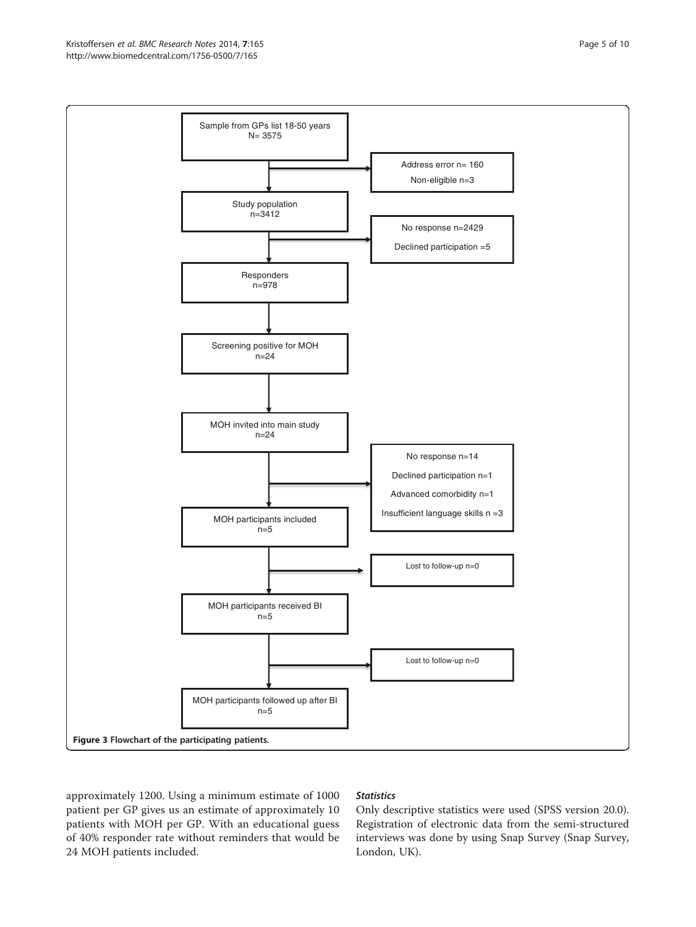<span id="page-4-0"></span>

approximately 1200. Using a minimum estimate of 1000 patient per GP gives us an estimate of approximately 10 patients with MOH per GP. With an educational guess of 40% responder rate without reminders that would be 24 MOH patients included.

## **Statistics**

Only descriptive statistics were used (SPSS version 20.0). Registration of electronic data from the semi-structured interviews was done by using Snap Survey (Snap Survey, London, UK).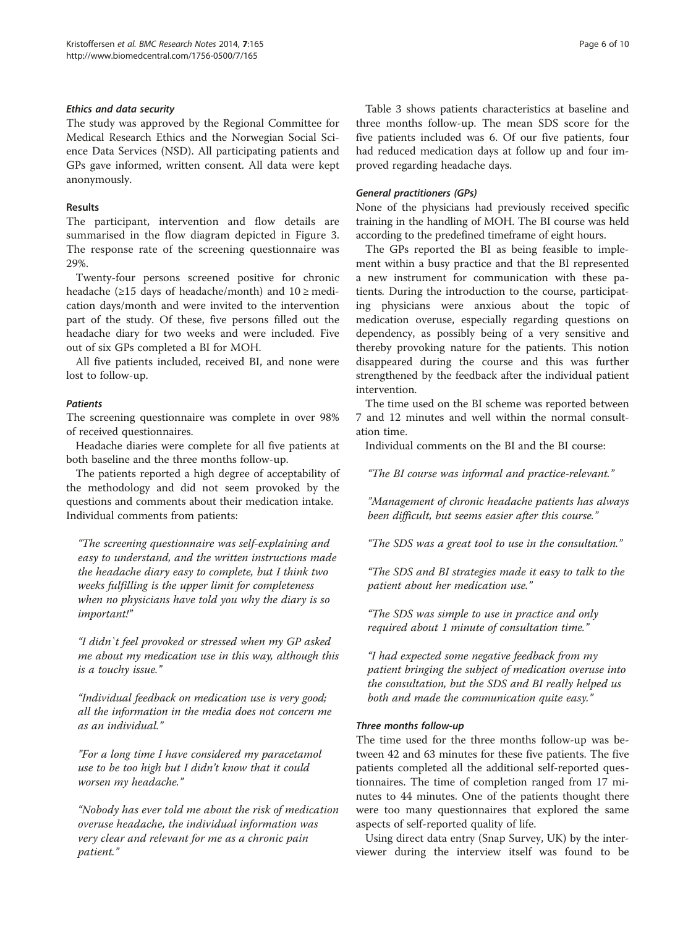## Ethics and data security

The study was approved by the Regional Committee for Medical Research Ethics and the Norwegian Social Science Data Services (NSD). All participating patients and GPs gave informed, written consent. All data were kept anonymously.

## Results

The participant, intervention and flow details are summarised in the flow diagram depicted in Figure [3](#page-4-0). The response rate of the screening questionnaire was 29%.

Twenty-four persons screened positive for chronic headache (≥15 days of headache/month) and 10 ≥ medication days/month and were invited to the intervention part of the study. Of these, five persons filled out the headache diary for two weeks and were included. Five out of six GPs completed a BI for MOH.

All five patients included, received BI, and none were lost to follow-up.

#### **Patients**

The screening questionnaire was complete in over 98% of received questionnaires.

Headache diaries were complete for all five patients at both baseline and the three months follow-up.

The patients reported a high degree of acceptability of the methodology and did not seem provoked by the questions and comments about their medication intake. Individual comments from patients:

"The screening questionnaire was self-explaining and easy to understand, and the written instructions made the headache diary easy to complete, but I think two weeks fulfilling is the upper limit for completeness when no physicians have told you why the diary is so important!"

"I didn`t feel provoked or stressed when my GP asked me about my medication use in this way, although this is a touchy issue."

"Individual feedback on medication use is very good; all the information in the media does not concern me as an individual."

"For a long time I have considered my paracetamol use to be too high but I didn't know that it could worsen my headache."

"Nobody has ever told me about the risk of medication overuse headache, the individual information was very clear and relevant for me as a chronic pain patient."

Table [3](#page-6-0) shows patients characteristics at baseline and three months follow-up. The mean SDS score for the five patients included was 6. Of our five patients, four had reduced medication days at follow up and four improved regarding headache days.

#### General practitioners (GPs)

None of the physicians had previously received specific training in the handling of MOH. The BI course was held according to the predefined timeframe of eight hours.

The GPs reported the BI as being feasible to implement within a busy practice and that the BI represented a new instrument for communication with these patients. During the introduction to the course, participating physicians were anxious about the topic of medication overuse, especially regarding questions on dependency, as possibly being of a very sensitive and thereby provoking nature for the patients. This notion disappeared during the course and this was further strengthened by the feedback after the individual patient intervention.

The time used on the BI scheme was reported between 7 and 12 minutes and well within the normal consultation time.

Individual comments on the BI and the BI course:

"The BI course was informal and practice-relevant."

"Management of chronic headache patients has always been difficult, but seems easier after this course."

"The SDS was a great tool to use in the consultation."

"The SDS and BI strategies made it easy to talk to the patient about her medication use."

"The SDS was simple to use in practice and only required about 1 minute of consultation time."

"I had expected some negative feedback from my patient bringing the subject of medication overuse into the consultation, but the SDS and BI really helped us both and made the communication quite easy."

#### Three months follow-up

The time used for the three months follow-up was between 42 and 63 minutes for these five patients. The five patients completed all the additional self-reported questionnaires. The time of completion ranged from 17 minutes to 44 minutes. One of the patients thought there were too many questionnaires that explored the same aspects of self-reported quality of life.

Using direct data entry (Snap Survey, UK) by the interviewer during the interview itself was found to be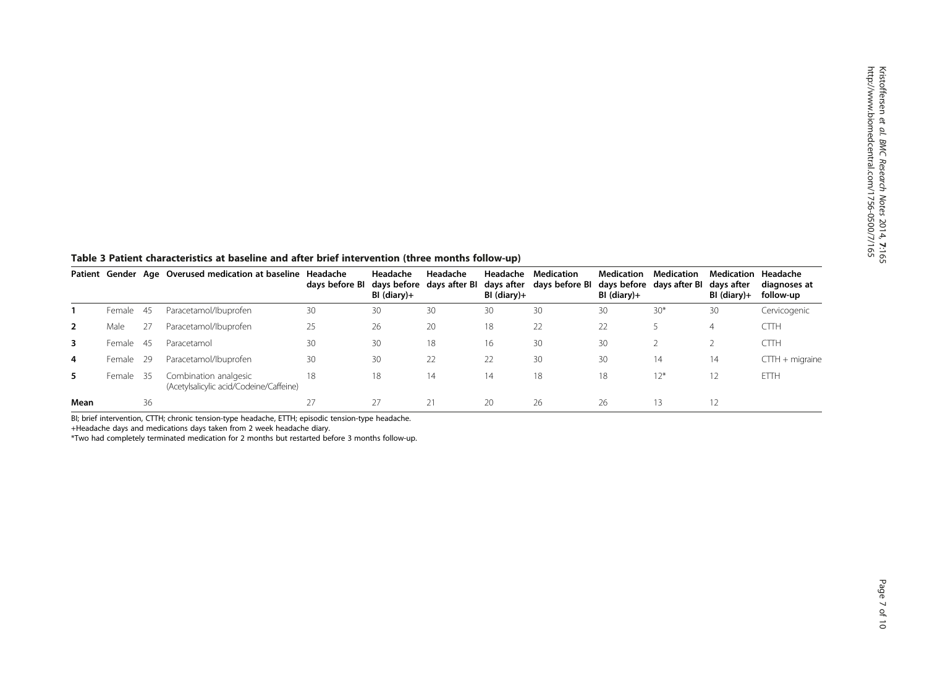<span id="page-6-0"></span>Table 3 Patient characteristics at baseline and after brief intervention (three months follow-up)

|      |           |     | Patient Gender Age Overused medication at baseline Headache      | days before BI days before days after BI | Headache<br>$BI$ (diary)+ | Headache | Headache<br>$BI$ (diary)+ | Medication<br>days after days before BI | Medication<br>$BI$ (diary)+ | Medication<br>days before days after BI | Medication Headache<br>days after<br>$BI$ (diary)+ | diagnoses at<br>follow-up |
|------|-----------|-----|------------------------------------------------------------------|------------------------------------------|---------------------------|----------|---------------------------|-----------------------------------------|-----------------------------|-----------------------------------------|----------------------------------------------------|---------------------------|
|      | Female 45 |     | Paracetamol/Ibuprofen                                            | 30                                       | 30                        | 30       | 30                        | 30                                      | 30                          | $30*$                                   | 30                                                 | Cervicogenic              |
|      | Male      | 27  | Paracetamol/Ibuprofen                                            | 25                                       | 26                        | 20       | 18                        | 22                                      | 22                          |                                         | 4                                                  | <b>CTTH</b>               |
|      | Female 45 |     | Paracetamol                                                      | 30                                       | 30                        | 18       | 16                        | 30                                      | 30                          |                                         |                                                    | <b>CTTH</b>               |
| -4   | Female    | 29  | Paracetamol/Ibuprofen                                            | 30                                       | 30                        | 22       | 22                        | 30                                      | 30                          | 14                                      | 14                                                 | CTTH + migraine           |
| 5    | Female    | -35 | Combination analgesic<br>(Acetylsalicylic acid/Codeine/Caffeine) | 18                                       | 18                        | 14       | 14                        | 18                                      | 18                          | $12*$                                   | $\prime$                                           | <b>ETTH</b>               |
| Mean |           | 36  |                                                                  | 27                                       | 27                        | 21       | 20                        | 26                                      | 26                          | 13                                      |                                                    |                           |

BI; brief intervention, CTTH; chronic tension-type headache, ETTH; episodic tension-type headache.

+Headache days and medications days taken from 2 week headache diary.

\*Two had completely terminated medication for 2 months but restarted before 3 months follow-up.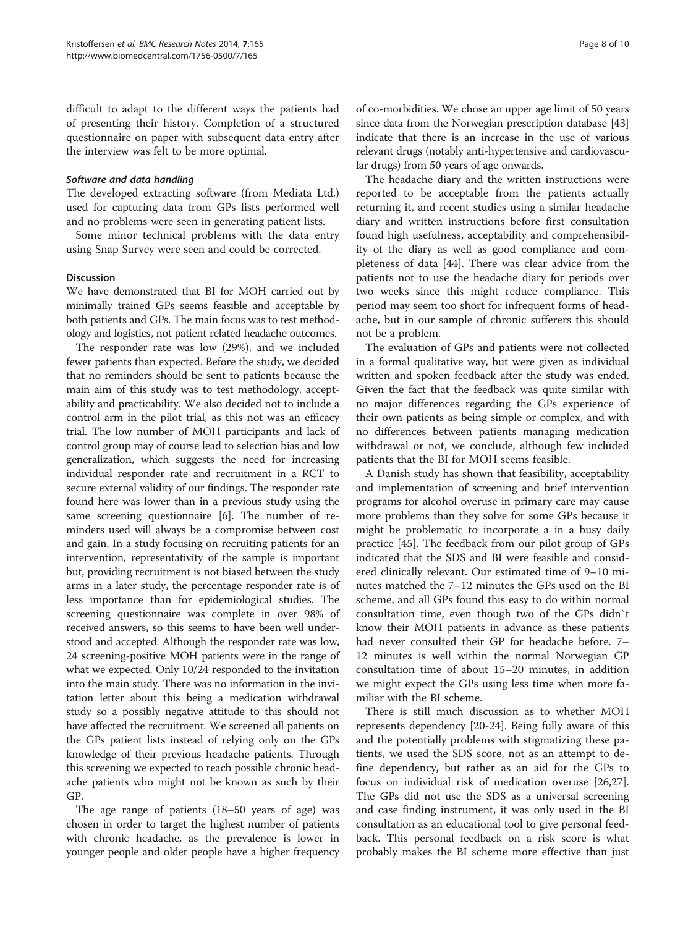difficult to adapt to the different ways the patients had of presenting their history. Completion of a structured questionnaire on paper with subsequent data entry after the interview was felt to be more optimal.

#### Software and data handling

The developed extracting software (from Mediata Ltd.) used for capturing data from GPs lists performed well and no problems were seen in generating patient lists.

Some minor technical problems with the data entry using Snap Survey were seen and could be corrected.

#### Discussion

We have demonstrated that BI for MOH carried out by minimally trained GPs seems feasible and acceptable by both patients and GPs. The main focus was to test methodology and logistics, not patient related headache outcomes.

The responder rate was low (29%), and we included fewer patients than expected. Before the study, we decided that no reminders should be sent to patients because the main aim of this study was to test methodology, acceptability and practicability. We also decided not to include a control arm in the pilot trial, as this not was an efficacy trial. The low number of MOH participants and lack of control group may of course lead to selection bias and low generalization, which suggests the need for increasing individual responder rate and recruitment in a RCT to secure external validity of our findings. The responder rate found here was lower than in a previous study using the same screening questionnaire [\[6](#page-8-0)]. The number of reminders used will always be a compromise between cost and gain. In a study focusing on recruiting patients for an intervention, representativity of the sample is important but, providing recruitment is not biased between the study arms in a later study, the percentage responder rate is of less importance than for epidemiological studies. The screening questionnaire was complete in over 98% of received answers, so this seems to have been well understood and accepted. Although the responder rate was low, 24 screening-positive MOH patients were in the range of what we expected. Only 10/24 responded to the invitation into the main study. There was no information in the invitation letter about this being a medication withdrawal study so a possibly negative attitude to this should not have affected the recruitment. We screened all patients on the GPs patient lists instead of relying only on the GPs knowledge of their previous headache patients. Through this screening we expected to reach possible chronic headache patients who might not be known as such by their GP.

The age range of patients (18–50 years of age) was chosen in order to target the highest number of patients with chronic headache, as the prevalence is lower in younger people and older people have a higher frequency

of co-morbidities. We chose an upper age limit of 50 years since data from the Norwegian prescription database [[43](#page-9-0)] indicate that there is an increase in the use of various relevant drugs (notably anti-hypertensive and cardiovascular drugs) from 50 years of age onwards.

The headache diary and the written instructions were reported to be acceptable from the patients actually returning it, and recent studies using a similar headache diary and written instructions before first consultation found high usefulness, acceptability and comprehensibility of the diary as well as good compliance and completeness of data [\[44](#page-9-0)]. There was clear advice from the patients not to use the headache diary for periods over two weeks since this might reduce compliance. This period may seem too short for infrequent forms of headache, but in our sample of chronic sufferers this should not be a problem.

The evaluation of GPs and patients were not collected in a formal qualitative way, but were given as individual written and spoken feedback after the study was ended. Given the fact that the feedback was quite similar with no major differences regarding the GPs experience of their own patients as being simple or complex, and with no differences between patients managing medication withdrawal or not, we conclude, although few included patients that the BI for MOH seems feasible.

A Danish study has shown that feasibility, acceptability and implementation of screening and brief intervention programs for alcohol overuse in primary care may cause more problems than they solve for some GPs because it might be problematic to incorporate a in a busy daily practice [[45](#page-9-0)]. The feedback from our pilot group of GPs indicated that the SDS and BI were feasible and considered clinically relevant. Our estimated time of 9–10 minutes matched the 7–12 minutes the GPs used on the BI scheme, and all GPs found this easy to do within normal consultation time, even though two of the GPs didn`t know their MOH patients in advance as these patients had never consulted their GP for headache before. 7– 12 minutes is well within the normal Norwegian GP consultation time of about 15–20 minutes, in addition we might expect the GPs using less time when more familiar with the BI scheme.

There is still much discussion as to whether MOH represents dependency [\[20](#page-9-0)-[24\]](#page-9-0). Being fully aware of this and the potentially problems with stigmatizing these patients, we used the SDS score, not as an attempt to define dependency, but rather as an aid for the GPs to focus on individual risk of medication overuse [\[26,27](#page-9-0)]. The GPs did not use the SDS as a universal screening and case finding instrument, it was only used in the BI consultation as an educational tool to give personal feedback. This personal feedback on a risk score is what probably makes the BI scheme more effective than just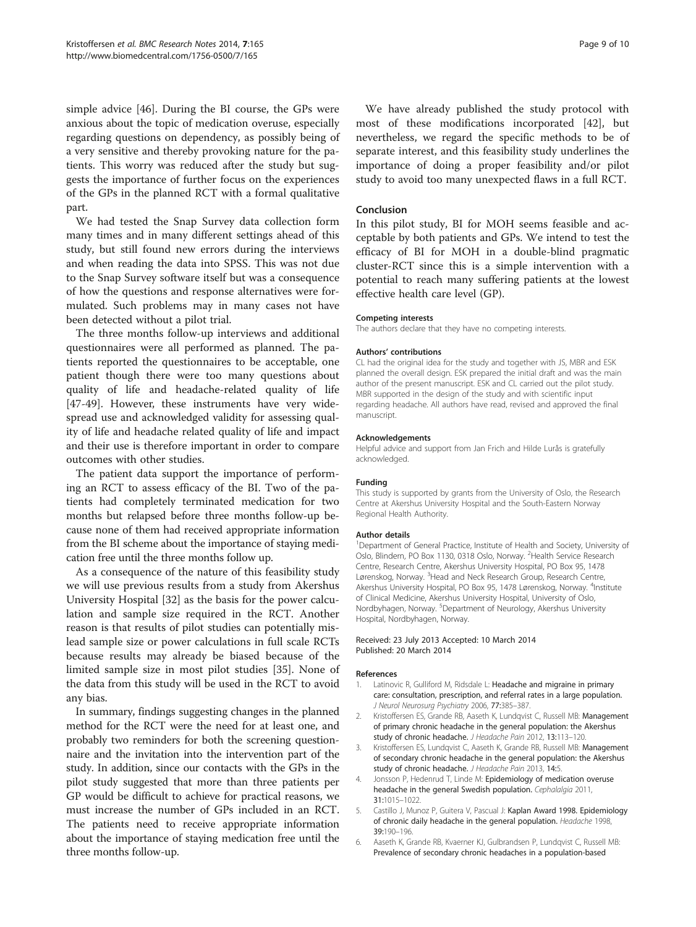<span id="page-8-0"></span>simple advice [[46\]](#page-9-0). During the BI course, the GPs were anxious about the topic of medication overuse, especially regarding questions on dependency, as possibly being of a very sensitive and thereby provoking nature for the patients. This worry was reduced after the study but suggests the importance of further focus on the experiences of the GPs in the planned RCT with a formal qualitative part.

We had tested the Snap Survey data collection form many times and in many different settings ahead of this study, but still found new errors during the interviews and when reading the data into SPSS. This was not due to the Snap Survey software itself but was a consequence of how the questions and response alternatives were formulated. Such problems may in many cases not have been detected without a pilot trial.

The three months follow-up interviews and additional questionnaires were all performed as planned. The patients reported the questionnaires to be acceptable, one patient though there were too many questions about quality of life and headache-related quality of life [[47-49](#page-9-0)]. However, these instruments have very widespread use and acknowledged validity for assessing quality of life and headache related quality of life and impact and their use is therefore important in order to compare outcomes with other studies.

The patient data support the importance of performing an RCT to assess efficacy of the BI. Two of the patients had completely terminated medication for two months but relapsed before three months follow-up because none of them had received appropriate information from the BI scheme about the importance of staying medication free until the three months follow up.

As a consequence of the nature of this feasibility study we will use previous results from a study from Akershus University Hospital [[32\]](#page-9-0) as the basis for the power calculation and sample size required in the RCT. Another reason is that results of pilot studies can potentially mislead sample size or power calculations in full scale RCTs because results may already be biased because of the limited sample size in most pilot studies [[35](#page-9-0)]. None of the data from this study will be used in the RCT to avoid any bias.

In summary, findings suggesting changes in the planned method for the RCT were the need for at least one, and probably two reminders for both the screening questionnaire and the invitation into the intervention part of the study. In addition, since our contacts with the GPs in the pilot study suggested that more than three patients per GP would be difficult to achieve for practical reasons, we must increase the number of GPs included in an RCT. The patients need to receive appropriate information about the importance of staying medication free until the three months follow-up.

We have already published the study protocol with most of these modifications incorporated [\[42](#page-9-0)], but nevertheless, we regard the specific methods to be of separate interest, and this feasibility study underlines the importance of doing a proper feasibility and/or pilot study to avoid too many unexpected flaws in a full RCT.

#### Conclusion

In this pilot study, BI for MOH seems feasible and acceptable by both patients and GPs. We intend to test the efficacy of BI for MOH in a double-blind pragmatic cluster-RCT since this is a simple intervention with a potential to reach many suffering patients at the lowest effective health care level (GP).

#### Competing interests

The authors declare that they have no competing interests.

#### Authors' contributions

CL had the original idea for the study and together with JS, MBR and ESK planned the overall design. ESK prepared the initial draft and was the main author of the present manuscript. ESK and CL carried out the pilot study. MBR supported in the design of the study and with scientific input regarding headache. All authors have read, revised and approved the final manuscript.

#### Acknowledgements

Helpful advice and support from Jan Frich and Hilde Lurås is gratefully acknowledged.

#### Funding

This study is supported by grants from the University of Oslo, the Research Centre at Akershus University Hospital and the South-Eastern Norway Regional Health Authority.

#### Author details

<sup>1</sup>Department of General Practice, Institute of Health and Society, University of Oslo, Blindern, PO Box 1130, 0318 Oslo, Norway. <sup>2</sup> Health Service Research Centre, Research Centre, Akershus University Hospital, PO Box 95, 1478 Lørenskog, Norway. <sup>3</sup>Head and Neck Research Group, Research Centre, Akershus University Hospital, PO Box 95, 1478 Lørenskog, Norway. <sup>4</sup>Institute of Clinical Medicine, Akershus University Hospital, University of Oslo, Nordbyhagen, Norway. <sup>5</sup>Department of Neurology, Akershus University Hospital, Nordbyhagen, Norway.

#### Received: 23 July 2013 Accepted: 10 March 2014 Published: 20 March 2014

#### References

- Latinovic R, Gulliford M, Ridsdale L: Headache and migraine in primary care: consultation, prescription, and referral rates in a large population. J Neurol Neurosurg Psychiatry 2006, 77:385–387.
- 2. Kristoffersen ES, Grande RB, Aaseth K, Lundqvist C, Russell MB: Management of primary chronic headache in the general population: the Akershus study of chronic headache. J Headache Pain 2012, 13:113–120.
- 3. Kristoffersen ES, Lundqvist C, Aaseth K, Grande RB, Russell MB: Management of secondary chronic headache in the general population: the Akershus study of chronic headache. J Headache Pain 2013, 14:5.
- 4. Jonsson P, Hedenrud T, Linde M: Epidemiology of medication overuse headache in the general Swedish population. Cephalalgia 2011, 31:1015–1022.
- 5. Castillo J, Munoz P, Guitera V, Pascual J: Kaplan Award 1998. Epidemiology of chronic daily headache in the general population. Headache 1998, 39:190–196.
- 6. Aaseth K, Grande RB, Kvaerner KJ, Gulbrandsen P, Lundqvist C, Russell MB: Prevalence of secondary chronic headaches in a population-based